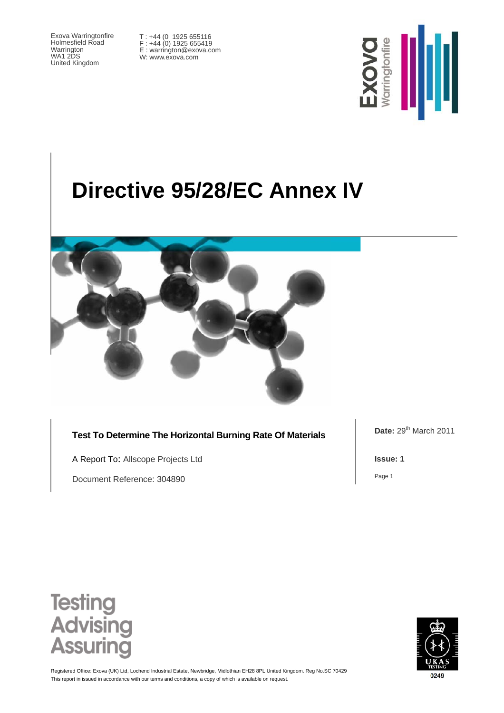Exova Warringtonfire Holmesfield Road Warrington WA1 2DS United Kingdom

T : +44 (0 1925 655116 F : +44 (0) 1925 655419 E : warrington@exova.com W: www.exova.com



# **Directive 95/28/EC Annex IV**



**Test To Determine The Horizontal Burning Rate Of Materials** 

A Report To: Allscope Projects Ltd

Document Reference: 304890

**Date:** 29<sup>th</sup> March 2011

**Issue: 1**

Page 1





This report in issued in accordance with our terms and conditions, a copy of which is available on request. Registered Office: Exova (UK) Ltd, Lochend Industrial Estate, Newbridge, Midlothian EH28 8PL United Kingdom. Reg No.SC 70429

0249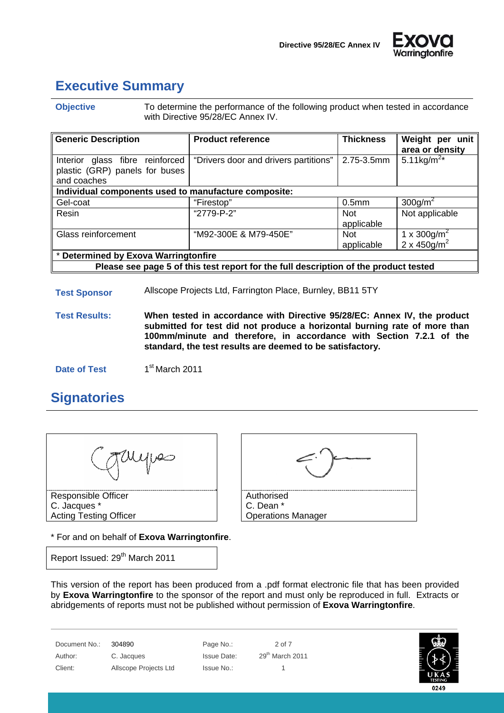



### **Executive Summary**

**Objective** To determine the performance of the following product when tested in accordance with Directive 95/28/EC Annex IV.

| <b>Generic Description</b>                                                           | <b>Product reference</b>              | <b>Thickness</b>         | Weight per unit<br>area or density |  |
|--------------------------------------------------------------------------------------|---------------------------------------|--------------------------|------------------------------------|--|
| Interior glass fibre reinforced<br>plastic (GRP) panels for buses<br>and coaches     | "Drivers door and drivers partitions" | 2.75-3.5mm               | 5.11kg/ $m^{2*}$                   |  |
| Individual components used to manufacture composite:                                 |                                       |                          |                                    |  |
| Gel-coat                                                                             | "Firestop"                            | 0.5 <sub>mm</sub>        | $300$ g/m <sup>2</sup>             |  |
| Resin                                                                                | "2779-P-2"                            | <b>Not</b><br>applicable | Not applicable                     |  |
| Glass reinforcement                                                                  | "M92-300E & M79-450E"                 | <b>Not</b>               | 1 x 300g/m <sup>2</sup>            |  |
|                                                                                      |                                       | applicable               | $2 \times 450$ g/m <sup>2</sup>    |  |
| * Determined by Exova Warringtonfire                                                 |                                       |                          |                                    |  |
| Please see page 5 of this test report for the full description of the product tested |                                       |                          |                                    |  |

#### **Test Sponsor** Allscope Projects Ltd, Farrington Place, Burnley, BB11 5TY

**Test Results: When tested in accordance with Directive 95/28/EC: Annex IV, the product submitted for test did not produce a horizontal burning rate of more than 100mm/minute and therefore, in accordance with Section 7.2.1 of the standard, the test results are deemed to be satisfactory.** 

**Date of Test** 1st March 2011

#### **Signatories**



C. Jacques \* Acting Testing Officer

\* For and on behalf of **Exova Warringtonfire**.

Report Issued: 29<sup>th</sup> March 2011



This version of the report has been produced from a .pdf format electronic file that has been provided by **Exova Warringtonfire** to the sponsor of the report and must only be reproduced in full. Extracts or abridgements of reports must not be published without permission of **Exova Warringtonfire**.

Document No.: 304890 Page No.: 2 of 7 Author: C. Jacques Issue Date: 29<sup>th</sup> March 2011 Client: Allscope Projects Ltd Issue No.: 1

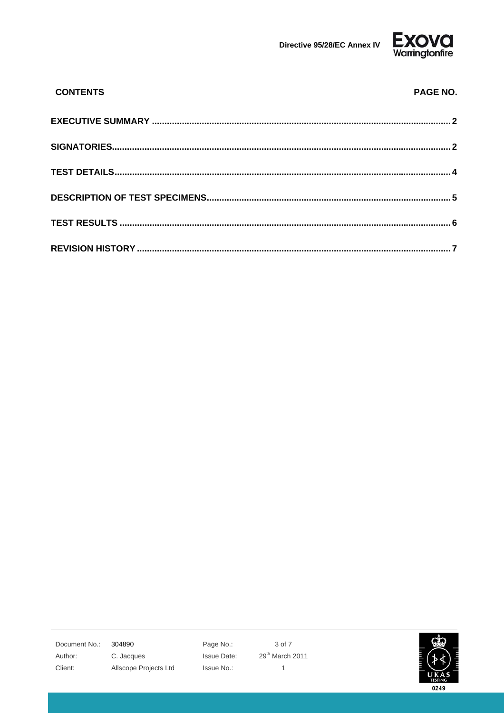



| <b>CONTENTS</b> | PAGE NO. |
|-----------------|----------|
|                 |          |
|                 |          |
|                 |          |
|                 |          |
|                 |          |
|                 |          |

Document No.: 304890 Author:

Client:

C. Jacques

Allscope Projects Ltd

Page No.: Issue Date: Issue No.:

3 of 7 29<sup>th</sup> March 2011  $\mathbf{1}$ 

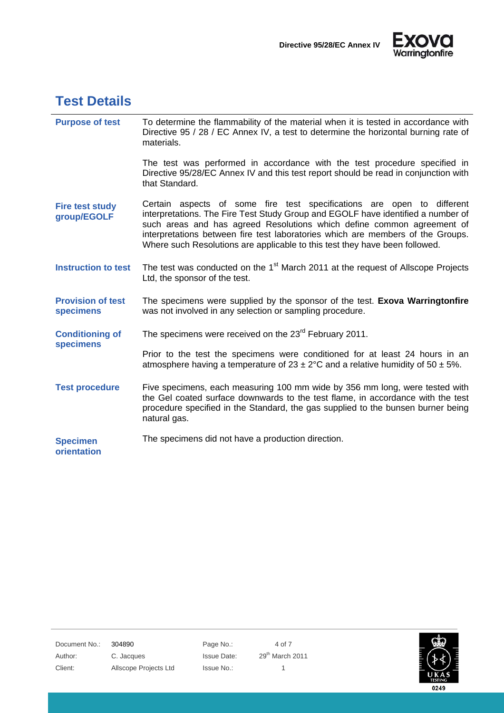



#### **Test Details**

| <b>Purpose of test</b>                       | To determine the flammability of the material when it is tested in accordance with<br>Directive 95 / 28 / EC Annex IV, a test to determine the horizontal burning rate of<br>materials.                                                                                                                                                                                                                |
|----------------------------------------------|--------------------------------------------------------------------------------------------------------------------------------------------------------------------------------------------------------------------------------------------------------------------------------------------------------------------------------------------------------------------------------------------------------|
|                                              | The test was performed in accordance with the test procedure specified in<br>Directive 95/28/EC Annex IV and this test report should be read in conjunction with<br>that Standard.                                                                                                                                                                                                                     |
| <b>Fire test study</b><br>group/EGOLF        | Certain aspects of some fire test specifications are open to different<br>interpretations. The Fire Test Study Group and EGOLF have identified a number of<br>such areas and has agreed Resolutions which define common agreement of<br>interpretations between fire test laboratories which are members of the Groups.<br>Where such Resolutions are applicable to this test they have been followed. |
| <b>Instruction to test</b>                   | The test was conducted on the 1 <sup>st</sup> March 2011 at the request of Allscope Projects<br>Ltd, the sponsor of the test.                                                                                                                                                                                                                                                                          |
| <b>Provision of test</b><br><b>specimens</b> | The specimens were supplied by the sponsor of the test. Exova Warringtonfire<br>was not involved in any selection or sampling procedure.                                                                                                                                                                                                                                                               |
| <b>Conditioning of</b>                       | The specimens were received on the 23 <sup>rd</sup> February 2011.                                                                                                                                                                                                                                                                                                                                     |
| specimens                                    | Prior to the test the specimens were conditioned for at least 24 hours in an<br>atmosphere having a temperature of $23 \pm 2$ °C and a relative humidity of 50 $\pm$ 5%.                                                                                                                                                                                                                               |
| <b>Test procedure</b>                        | Five specimens, each measuring 100 mm wide by 356 mm long, were tested with<br>the Gel coated surface downwards to the test flame, in accordance with the test<br>procedure specified in the Standard, the gas supplied to the bunsen burner being<br>natural gas.                                                                                                                                     |
|                                              |                                                                                                                                                                                                                                                                                                                                                                                                        |

Document No.: 304890 Page No.: 4 of 7 Author: C. Jacques Issue Date: 29<sup>th</sup> March 2011 Client: Allscope Projects Ltd Issue No.: 1

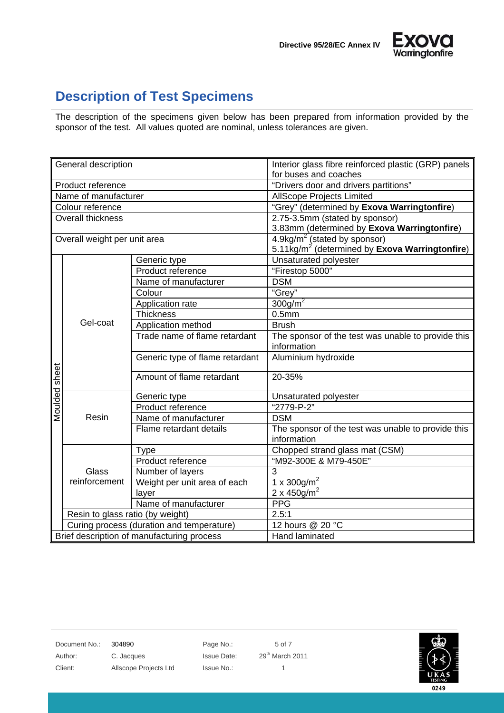



### **Description of Test Specimens**

The description of the specimens given below has been prepared from information provided by the sponsor of the test. All values quoted are nominal, unless tolerances are given.

| General description          |                                            |                                 | Interior glass fibre reinforced plastic (GRP) panels                                                         |  |  |
|------------------------------|--------------------------------------------|---------------------------------|--------------------------------------------------------------------------------------------------------------|--|--|
|                              |                                            |                                 | for buses and coaches                                                                                        |  |  |
| Product reference            |                                            |                                 | "Drivers door and drivers partitions"                                                                        |  |  |
|                              | Name of manufacturer                       |                                 | <b>AllScope Projects Limited</b>                                                                             |  |  |
|                              | Colour reference                           |                                 | "Grey" (determined by Exova Warringtonfire)                                                                  |  |  |
|                              | Overall thickness                          |                                 | 2.75-3.5mm (stated by sponsor)                                                                               |  |  |
|                              |                                            |                                 | 3.83mm (determined by Exova Warringtonfire)                                                                  |  |  |
| Overall weight per unit area |                                            |                                 | $4.9\text{kg/m}^2$ (stated by sponsor)<br>5.11kg/m <sup>2</sup> (determined by <b>Exova Warringtonfire</b> ) |  |  |
|                              |                                            |                                 |                                                                                                              |  |  |
|                              |                                            | Generic type                    | Unsaturated polyester                                                                                        |  |  |
|                              |                                            | Product reference               | "Firestop 5000"                                                                                              |  |  |
|                              |                                            | Name of manufacturer            | <b>DSM</b>                                                                                                   |  |  |
|                              |                                            | Colour                          | "Grey"                                                                                                       |  |  |
|                              |                                            | Application rate                | $300$ g/m <sup>2</sup>                                                                                       |  |  |
|                              |                                            | <b>Thickness</b>                | 0.5 <sub>mm</sub>                                                                                            |  |  |
|                              | Gel-coat                                   | Application method              | <b>Brush</b>                                                                                                 |  |  |
|                              |                                            | Trade name of flame retardant   | The sponsor of the test was unable to provide this<br>information                                            |  |  |
|                              |                                            | Generic type of flame retardant | Aluminium hydroxide                                                                                          |  |  |
| Moulded sheet                |                                            | Amount of flame retardant       | 20-35%                                                                                                       |  |  |
|                              |                                            | Generic type                    | Unsaturated polyester                                                                                        |  |  |
|                              |                                            | Product reference               | "2779-P-2"                                                                                                   |  |  |
|                              | Resin                                      | Name of manufacturer            | <b>DSM</b>                                                                                                   |  |  |
|                              |                                            | Flame retardant details         | The sponsor of the test was unable to provide this                                                           |  |  |
|                              |                                            |                                 | information                                                                                                  |  |  |
|                              |                                            | <b>Type</b>                     | Chopped strand glass mat (CSM)                                                                               |  |  |
|                              | Glass<br>reinforcement                     | Product reference               | "M92-300E & M79-450E"                                                                                        |  |  |
|                              |                                            | Number of layers                | 3                                                                                                            |  |  |
|                              |                                            | Weight per unit area of each    | 1 x 300g/m <sup>2</sup>                                                                                      |  |  |
|                              |                                            | layer                           | 2 x 450g/m <sup>2</sup>                                                                                      |  |  |
|                              |                                            | Name of manufacturer            | <b>PPG</b>                                                                                                   |  |  |
|                              | Resin to glass ratio (by weight)           |                                 | 2.5:1                                                                                                        |  |  |
|                              | Curing process (duration and temperature)  |                                 | 12 hours @ 20 °C                                                                                             |  |  |
|                              | Brief description of manufacturing process |                                 | Hand laminated                                                                                               |  |  |

Document No.: 304890 Page No.: 5 of 7

Author: C. Jacques Issue Date: 29<sup>th</sup> March 2011 Client: Allscope Projects Ltd Issue No.: 1

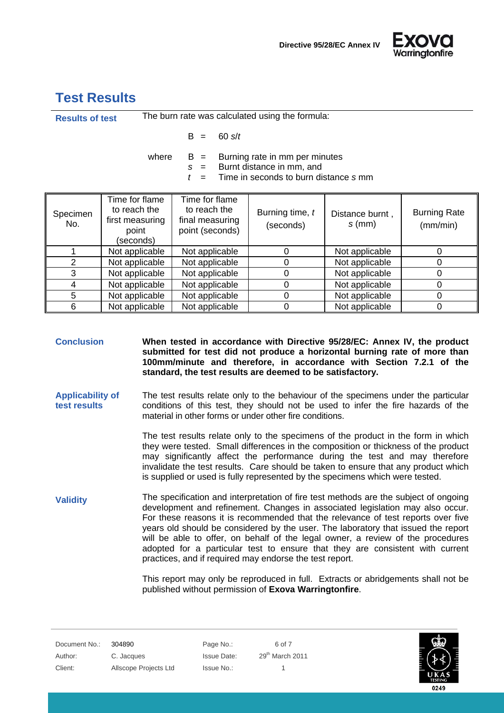

#### **Test Results**

| <b>Results of test</b>                                                                                                                     |                                                                         |                                                                      | The burn rate was calculated using the formula: |                             |                                 |
|--------------------------------------------------------------------------------------------------------------------------------------------|-------------------------------------------------------------------------|----------------------------------------------------------------------|-------------------------------------------------|-----------------------------|---------------------------------|
|                                                                                                                                            |                                                                         | $60 \text{ s}/t$<br>B<br>$=$                                         |                                                 |                             |                                 |
| Burning rate in mm per minutes<br>where<br>$B =$<br>Burnt distance in mm, and<br>$=$<br>S.<br>Time in seconds to burn distance s mm<br>$=$ |                                                                         |                                                                      |                                                 |                             |                                 |
| Specimen<br>No.                                                                                                                            | Time for flame<br>to reach the<br>first measuring<br>point<br>(seconds) | Time for flame<br>to reach the<br>final measuring<br>point (seconds) | Burning time, t<br>(seconds)                    | Distance burnt,<br>$s$ (mm) | <b>Burning Rate</b><br>(mm/min) |
|                                                                                                                                            | Not applicable                                                          | Not applicable                                                       | 0                                               | Not applicable              | 0                               |
| $\overline{2}$                                                                                                                             | Not applicable                                                          | Not applicable                                                       | 0                                               | Not applicable              | 0                               |
| 3                                                                                                                                          | Not applicable                                                          | Not applicable                                                       | 0                                               | Not applicable              | $\mathbf 0$                     |
| 4                                                                                                                                          | Not applicable                                                          | Not applicable                                                       | 0                                               | Not applicable              | 0                               |
| 5                                                                                                                                          | Not applicable                                                          | Not applicable                                                       | 0                                               | Not applicable              | 0                               |

**Conclusion When tested in accordance with Directive 95/28/EC: Annex IV, the product submitted for test did not produce a horizontal burning rate of more than 100mm/minute and therefore, in accordance with Section 7.2.1 of the standard, the test results are deemed to be satisfactory.**

6 | Not applicable | Not applicable | 0 | Not applicable | 0

**Applicability of test results**  The test results relate only to the behaviour of the specimens under the particular conditions of this test, they should not be used to infer the fire hazards of the material in other forms or under other fire conditions.

> The test results relate only to the specimens of the product in the form in which they were tested. Small differences in the composition or thickness of the product may significantly affect the performance during the test and may therefore invalidate the test results. Care should be taken to ensure that any product which is supplied or used is fully represented by the specimens which were tested.

**Validity** The specification and interpretation of fire test methods are the subject of ongoing development and refinement. Changes in associated legislation may also occur. For these reasons it is recommended that the relevance of test reports over five years old should be considered by the user. The laboratory that issued the report will be able to offer, on behalf of the legal owner, a review of the procedures adopted for a particular test to ensure that they are consistent with current practices, and if required may endorse the test report.

> This report may only be reproduced in full. Extracts or abridgements shall not be published without permission of **Exova Warringtonfire**.

Document No.: 304890 Page No.: 6 of 7 Author: C. Jacques Issue Date: 29<sup>th</sup> March 2011 Client: Allscope Projects Ltd Issue No.: 1